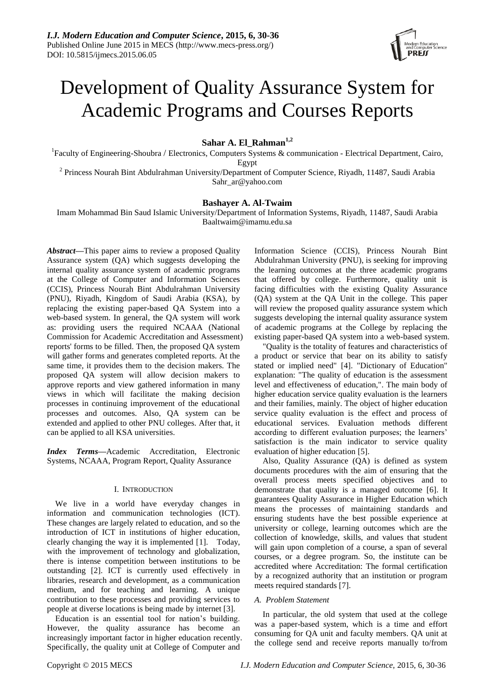

# Development of Quality Assurance System for Academic Programs and Courses Reports

**Sahar A. El\_Rahman1,2**

<sup>1</sup>Faculty of Engineering-Shoubra / Electronics, Computers Systems & communication - Electrical Department, Cairo, Egypt

<sup>2</sup> Princess Nourah Bint Abdulrahman University/Department of Computer Science, Riyadh, 11487, Saudi Arabia Sahr\_ar@yahoo.com

# **Bashayer A. Al-Twaim**

Imam Mohammad Bin Saud Islamic University/Department of Information Systems, Riyadh, 11487, Saudi Arabia Baaltwaim@imamu.edu.sa

*Abstract***—**This paper aims to review a proposed Quality Assurance system (QA) which suggests developing the internal quality assurance system of academic programs at the College of Computer and Information Sciences (CCIS), Princess Nourah Bint Abdulrahman University (PNU), Riyadh, Kingdom of Saudi Arabia (KSA), by replacing the existing paper-based QA System into a web-based system. In general, the QA system will work as: providing users the required NCAAA (National Commission for Academic Accreditation and Assessment) reports' forms to be filled. Then, the proposed QA system will gather forms and generates completed reports. At the same time, it provides them to the decision makers. The proposed QA system will allow decision makers to approve reports and view gathered information in many views in which will facilitate the making decision processes in continuing improvement of the educational processes and outcomes. Also, QA system can be extended and applied to other PNU colleges. After that, it can be applied to all KSA universities.

*Index Terms***—**Academic Accreditation, Electronic Systems, NCAAA, Program Report, Quality Assurance

# I. INTRODUCTION

We live in a world have everyday changes in information and communication technologies (ICT). These changes are largely related to education, and so the introduction of ICT in institutions of higher education, clearly changing the way it is implemented [1]. Today, with the improvement of technology and globalization, there is intense competition between institutions to be outstanding [2]. ICT is currently used effectively in libraries, research and development, as a communication medium, and for teaching and learning. A unique contribution to these processes and providing services to people at diverse locations is being made by internet [3].

Education is an essential tool for nation"s building. However, the quality assurance has become an increasingly important factor in higher education recently. Specifically, the quality unit at College of Computer and

Information Science (CCIS), Princess Nourah Bint Abdulrahman University (PNU), is seeking for improving the learning outcomes at the three academic programs that offered by college. Furthermore, quality unit is facing difficulties with the existing Quality Assurance (QA) system at the QA Unit in the college. This paper will review the proposed quality assurance system which suggests developing the internal quality assurance system of academic programs at the College by replacing the existing paper-based QA system into a web-based system.

"Quality is the totality of features and characteristics of a product or service that bear on its ability to satisfy stated or implied need" [4]. "Dictionary of Education" explanation: "The quality of education is the assessment level and effectiveness of education,". The main body of higher education service quality evaluation is the learners and their families, mainly. The object of higher education service quality evaluation is the effect and process of educational services. Evaluation methods different according to different evaluation purposes; the learners' satisfaction is the main indicator to service quality evaluation of higher education [5].

Also, Quality Assurance (QA) is defined as system documents procedures with the aim of ensuring that the overall process meets specified objectives and to demonstrate that quality is a managed outcome [6]. It guarantees Quality Assurance in Higher Education which means the processes of maintaining standards and ensuring students have the best possible experience at university or college, learning outcomes which are the collection of knowledge, skills, and values that student will gain upon completion of a course, a span of several courses, or a degree program. So, the institute can be accredited where Accreditation: The formal certification by a recognized authority that an institution or program meets required standards [7].

# *A. Problem Statement*

In particular, the old system that used at the college was a paper-based system, which is a time and effort consuming for QA unit and faculty members. QA unit at the college send and receive reports manually to/from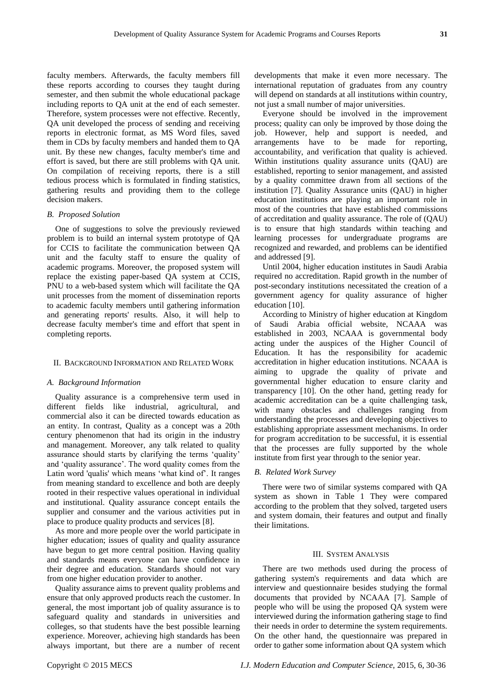faculty members. Afterwards, the faculty members fill these reports according to courses they taught during semester, and then submit the whole educational package including reports to QA unit at the end of each semester. Therefore, system processes were not effective. Recently, QA unit developed the process of sending and receiving reports in electronic format, as MS Word files, saved them in CDs by faculty members and handed them to QA unit. By these new changes, faculty member's time and effort is saved, but there are still problems with QA unit. On compilation of receiving reports, there is a still tedious process which is formulated in finding statistics, gathering results and providing them to the college decision makers.

## *B. Proposed Solution*

One of suggestions to solve the previously reviewed problem is to build an internal system prototype of QA for CCIS to facilitate the communication between QA unit and the faculty staff to ensure the quality of academic programs. Moreover, the proposed system will replace the existing paper-based QA system at CCIS, PNU to a web-based system which will facilitate the QA unit processes from the moment of dissemination reports to academic faculty members until gathering information and generating reports' results. Also, it will help to decrease faculty member's time and effort that spent in completing reports.

# II. BACKGROUND INFORMATION AND RELATED WORK

# *A. Background Information*

Quality assurance is a comprehensive term used in different fields like industrial, agricultural, and commercial also it can be directed towards education as an entity. In contrast, Quality as a concept was a 20th century phenomenon that had its origin in the industry and management. Moreover, any talk related to quality assurance should starts by clarifying the terms "quality" and "quality assurance". The word quality comes from the Latin word 'qualis' which means "what kind of". It ranges from meaning standard to excellence and both are deeply rooted in their respective values operational in individual and institutional. Quality assurance concept entails the supplier and consumer and the various activities put in place to produce quality products and services [8].

As more and more people over the world participate in higher education; issues of quality and quality assurance have begun to get more central position. Having quality and standards means everyone can have confidence in their degree and education. Standards should not vary from one higher education provider to another.

Quality assurance aims to prevent quality problems and ensure that only approved products reach the customer. In general, the most important job of quality assurance is to safeguard quality and standards in universities and colleges, so that students have the best possible learning experience. Moreover, achieving high standards has been always important, but there are a number of recent developments that make it even more necessary. The international reputation of graduates from any country will depend on standards at all institutions within country, not just a small number of major universities.

Everyone should be involved in the improvement process; quality can only be improved by those doing the job. However, help and support is needed, and arrangements have to be made for reporting, accountability, and verification that quality is achieved. Within institutions quality assurance units (QAU) are established, reporting to senior management, and assisted by a quality committee drawn from all sections of the institution [7]. Quality Assurance units (QAU) in higher education institutions are playing an important role in most of the countries that have established commissions of accreditation and quality assurance. The role of (QAU) is to ensure that high standards within teaching and learning processes for undergraduate programs are recognized and rewarded, and problems can be identified and addressed [9].

Until 2004, higher education institutes in Saudi Arabia required no accreditation. Rapid growth in the number of post-secondary institutions necessitated the creation of a government agency for quality assurance of higher education [10].

According to Ministry of higher education at Kingdom of Saudi Arabia official website, NCAAA was established in 2003, NCAAA is governmental body acting under the auspices of the Higher Council of Education. It has the responsibility for academic accreditation in higher education institutions. NCAAA is aiming to upgrade the quality of private and governmental higher education to ensure clarity and transparency [10]. On the other hand, getting ready for academic accreditation can be a quite challenging task, with many obstacles and challenges ranging from understanding the processes and developing objectives to establishing appropriate assessment mechanisms. In order for program accreditation to be successful, it is essential that the processes are fully supported by the whole institute from first year through to the senior year.

# *B. Related Work Survey*

There were two of similar systems compared with QA system as shown in Table 1 They were compared according to the problem that they solved, targeted users and system domain, their features and output and finally their limitations.

## III. SYSTEM ANALYSIS

There are two methods used during the process of gathering system's requirements and data which are interview and questionnaire besides studying the formal documents that provided by NCAAA [7]. Sample of people who will be using the proposed QA system were interviewed during the information gathering stage to find their needs in order to determine the system requirements. On the other hand, the questionnaire was prepared in order to gather some information about QA system which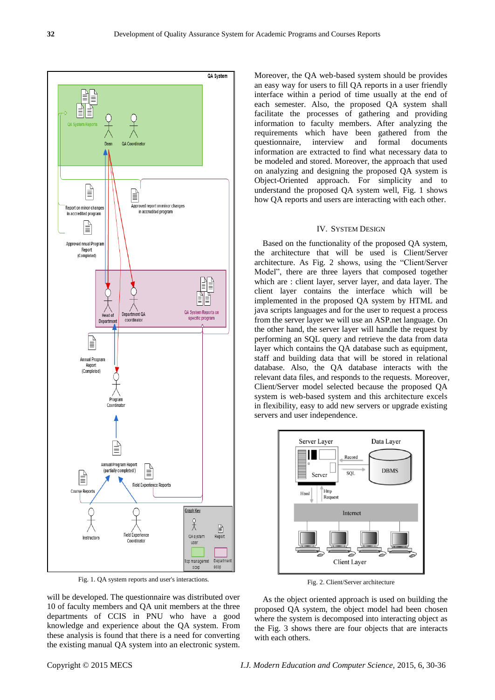

Fig. 1. QA system reports and user's interactions.

will be developed. The questionnaire was distributed over 10 of faculty members and QA unit members at the three departments of CCIS in PNU who have a good knowledge and experience about the QA system. From these analysis is found that there is a need for converting the existing manual QA system into an electronic system. Moreover, the QA web-based system should be provides an easy way for users to fill QA reports in a user friendly interface within a period of time usually at the end of each semester. Also, the proposed QA system shall facilitate the processes of gathering and providing information to faculty members. After analyzing the requirements which have been gathered from the questionnaire, interview and formal documents information are extracted to find what necessary data to be modeled and stored. Moreover, the approach that used on analyzing and designing the proposed QA system is Object-Oriented approach. For simplicity and to understand the proposed QA system well, Fig. 1 shows how QA reports and users are interacting with each other.

#### IV. SYSTEM DESIGN

Based on the functionality of the proposed QA system, the architecture that will be used is Client/Server architecture. As Fig. 2 shows, using the "Client/Server Model", there are three layers that composed together which are : client layer, server layer, and data layer. The client layer contains the interface which will be implemented in the proposed QA system by HTML and java scripts languages and for the user to request a process from the server layer we will use an ASP.net language. On the other hand, the server layer will handle the request by performing an SQL query and retrieve the data from data layer which contains the QA database such as equipment, staff and building data that will be stored in relational database. Also, the QA database interacts with the relevant data files, and responds to the requests. Moreover, Client/Server model selected because the proposed QA system is web-based system and this architecture excels in flexibility, easy to add new servers or upgrade existing servers and user independence.



Fig. 2. Client/Server architecture

As the object oriented approach is used on building the proposed QA system, the object model had been chosen where the system is decomposed into interacting object as the Fig. 3 shows there are four objects that are interacts with each others.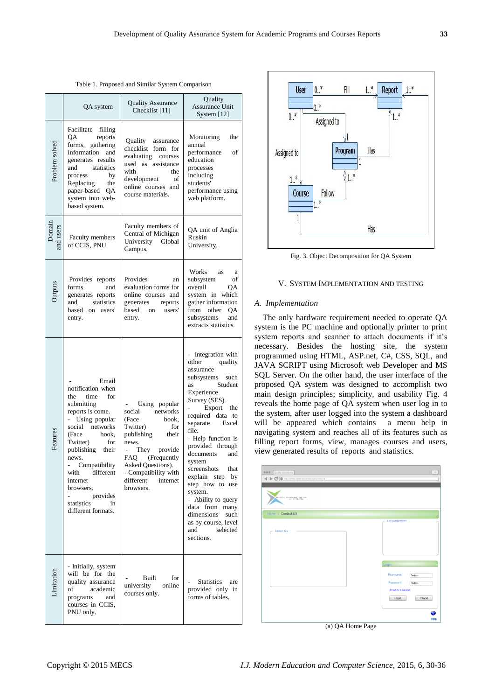Table 1. Proposed and Similar System Comparison

|                     | QA system                                                                                                                                                                                                                                                                                                             | <b>Quality Assurance</b><br>Checklist [11]                                                                                                                                                                                     | Quality<br>Assurance Unit<br>System [12]                                                                                                                                                                                                                                                                                                                                                                                                                         |
|---------------------|-----------------------------------------------------------------------------------------------------------------------------------------------------------------------------------------------------------------------------------------------------------------------------------------------------------------------|--------------------------------------------------------------------------------------------------------------------------------------------------------------------------------------------------------------------------------|------------------------------------------------------------------------------------------------------------------------------------------------------------------------------------------------------------------------------------------------------------------------------------------------------------------------------------------------------------------------------------------------------------------------------------------------------------------|
| Problem solved      | Facilitate filling<br>ОA<br>reports<br>forms, gathering<br>information and<br>generates results<br>and statistics<br>process<br>by<br>Replacing<br>the<br>paper-based QA<br>system into web-<br>based system.                                                                                                         | Quality assurance<br>checklist form for<br>evaluating<br>courses<br>used as assistance<br>with<br>the<br>development<br><sub>of</sub><br>online courses and<br>course materials.                                               | Monitoring<br>the<br>annual<br>performance<br>οf<br>education<br>processes<br>including<br>students'<br>performance using<br>web platform.                                                                                                                                                                                                                                                                                                                       |
| Domain<br>and users | Faculty members<br>of CCIS, PNU.                                                                                                                                                                                                                                                                                      | Faculty members of<br>Central of Michigan<br>University Global<br>Campus.                                                                                                                                                      | QA unit of Anglia<br>Ruskin<br>University.                                                                                                                                                                                                                                                                                                                                                                                                                       |
| Outputs             | Provides reports<br>forms<br>and<br>generates reports<br>and<br>statistics<br>based on users'<br>entry.                                                                                                                                                                                                               | Provides<br>an<br>evaluation forms for<br>online courses and<br>generates<br>reports<br>based on<br>users'<br>entry.                                                                                                           | Works as<br>a<br>of<br>subsystem<br>overall<br>QA<br>system in which<br>gather information<br>from other<br>QA<br>subsystems<br>and<br>extracts statistics.                                                                                                                                                                                                                                                                                                      |
| Features            | Email<br>notification when<br>for<br>the<br>time<br>submitting<br>reports is come.<br>- Using popular<br>social networks<br>(Face<br>book,<br>Twitter)<br>for<br>publishing their<br>news.<br>Compatibility<br>ä.<br>with<br>different<br>internet<br>browsers.<br>provides<br>statistics<br>in<br>different formats. | Using popular<br>social networks<br>book,<br>(Face<br>Twitter)<br>for<br>publishing their<br>news.<br>They provide<br>÷.<br>FAQ (Frequently<br>Asked Questions).<br>- Compatibility with<br>different<br>internet<br>browsers. | - Integration with<br>quality<br>other<br>assurance<br>subsystems<br>such<br>Student<br>as<br>Experience<br>Survey (SES).<br>- Export the<br>required data to<br>separate Excel<br>file.<br>- Help function is<br>provided through<br>documents<br>and<br>system<br>screenshots<br>that<br>explain step<br>by<br>step how to use<br>system.<br>- Ability to query<br>data from many<br>dimensions<br>such<br>as by course, level<br>selected<br>and<br>sections. |
| Limitation          | - Initially, system<br>will be for the<br>quality assurance<br>academic<br>of<br>and<br>programs<br>courses in CCIS,<br>PNU only.                                                                                                                                                                                     | Built<br>for<br>university<br>online<br>courses only.                                                                                                                                                                          | <b>Statistics</b><br>are<br>provided only in<br>forms of tables.                                                                                                                                                                                                                                                                                                                                                                                                 |



Fig. 3. Object Decomposition for QA System

## V. SYSTEM IMPLEMENTATION AND TESTING

#### *A. Implementation*

The only hardware requirement needed to operate QA system is the PC machine and optionally printer to print system reports and scanner to attach documents if it's necessary. Besides the hosting site, the system programmed using HTML, ASP.net, C#, CSS, SQL, and JAVA SCRIPT using Microsoft web Developer and MS SQL Server. On the other hand, the user interface of the proposed QA system was designed to accomplish two main design principles; simplicity, and usability Fig. 4 reveals the home page of QA system when user log in to the system, after user logged into the system a dashboard will be appeared which contains a menu help in navigating system and reaches all of its features such as filling report forms, view, manages courses and users, view generated results of reports and statistics.

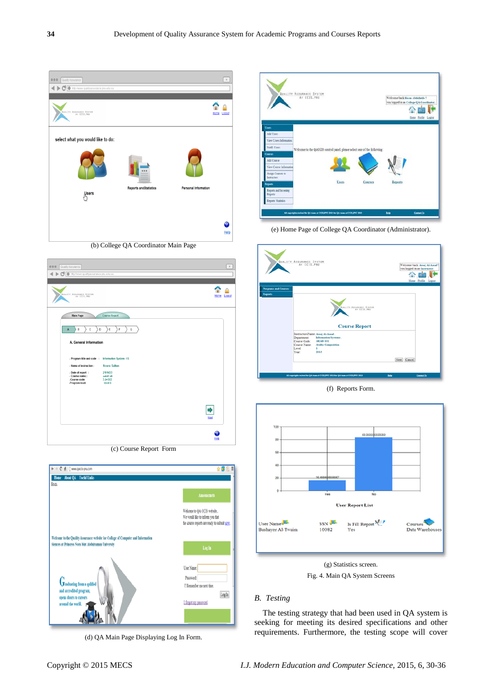Г

| Quality Assurance<br>000<br>A C Ohttp://www.qualityassurance.pnu.edu.sa |                                      |                      | $\ddot{\gamma}$ |
|-------------------------------------------------------------------------|--------------------------------------|----------------------|-----------------|
| QUALITY ASSURANCE SYSTEM                                                |                                      | Home                 | .coout          |
| select what you would like to do:                                       |                                      |                      |                 |
| <b>Users</b>                                                            | <b>Reports and Statistics</b>        | Personal Information | တု              |
|                                                                         | (b) College QA Coordinator Main Page |                      | Help            |



|                                    | QUALITY ASSURANCE SYSTEM                                                 | Welcome back Reem Abdullatife ! | you logged in as College QA Coordinator.<br>Home Profile Logost |
|------------------------------------|--------------------------------------------------------------------------|---------------------------------|-----------------------------------------------------------------|
| Users                              |                                                                          |                                 |                                                                 |
| Add Users                          |                                                                          |                                 |                                                                 |
| View Users Information             |                                                                          |                                 |                                                                 |
| Notify Users                       | Welcome to the QACCIS control panel, please select one of the following: |                                 |                                                                 |
| Countri                            |                                                                          |                                 |                                                                 |
| Add Course                         |                                                                          |                                 |                                                                 |
| View Course Information            |                                                                          |                                 |                                                                 |
| Assign Courses to<br>Instructors   |                                                                          |                                 |                                                                 |
| Users<br>Courses<br><b>Reports</b> |                                                                          | <b>Reports</b>                  |                                                                 |
| Reports and Incoming<br>Reports.   |                                                                          |                                 |                                                                 |
| Reports' Statistics                |                                                                          |                                 |                                                                 |
|                                    |                                                                          |                                 |                                                                 |

(e) Home Page of College QA Coordinator (Administrator).

| <b>Programs and Courses</b><br><b>Reports</b> | QUALITY ASSURANCE SYSTEM                                                                                                                                             |                     | Welcome back Areej Al-Assaf 1<br>you logged in as Instructor.<br>Home Profile Logout |
|-----------------------------------------------|----------------------------------------------------------------------------------------------------------------------------------------------------------------------|---------------------|--------------------------------------------------------------------------------------|
|                                               | QUALITY ASSURANCE SYSTEM<br><b>Course Report</b><br>InstructorsName: Areej Al-Assaf.<br>Information Systems.<br><b>Department:</b><br>Course Code:<br><b>ARAB101</b> |                     |                                                                                      |
|                                               | Course Name:<br><b>Arabic Composition</b><br>Level:<br>٠<br>Year:<br>2013<br>All copyrights recived for QA team at CCI3JPNU 2013 for QA team at CCI3JPNU 2013        | Next Cancel<br>Holy | <b>Contact Us</b>                                                                    |

(f) Reports Form.



Fig. 4. Main QA System Screens

# *B. Testing*

The testing strategy that had been used in QA system is seeking for meeting its desired specifications and other requirements. Furthermore, the testing scope will cover

(d) QA Main Page Displaying Log In Form.

User Name: Password

<sup>[]</sup> Remember me next time.

I forgot my password

 $\log\ln$ 

Graduating from a qulifi-

and accredited program

opens doors to careers

ad the world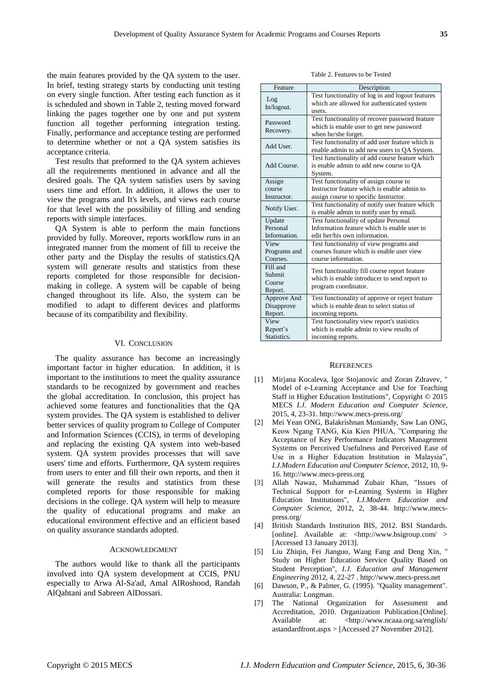the main features provided by the QA system to the user. In brief, testing strategy starts by conducting unit testing on every single function. After testing each function as it is scheduled and shown in Table 2, testing moved forward linking the pages together one by one and put system function all together performing integration testing. Finally, performance and acceptance testing are performed to determine whether or not a QA system satisfies its acceptance criteria.

Test results that preformed to the QA system achieves all the requirements mentioned in advance and all the desired goals. The QA system satisfies users by saving users time and effort. In addition, it allows the user to view the programs and It's levels, and views each course for that level with the possibility of filling and sending reports with simple interfaces.

QA System is able to perform the main functions provided by fully. Moreover, reports workflow runs in an integrated manner from the moment of fill to receive the other party and the Display the results of statistics.QA system will generate results and statistics from these reports completed for those responsible for decisionmaking in college. A system will be capable of being changed throughout its life. Also, the system can be modified to adapt to different devices and platforms because of its compatibility and flexibility.

## VI. CONCLUSION

The quality assurance has become an increasingly important factor in higher education. In addition, it is important to the institutions to meet the quality assurance standards to be recognized by government and reaches the global accreditation. In conclusion, this project has achieved some features and functionalities that the QA system provides. The QA system is established to deliver better services of quality program to College of Computer and Information Sciences (CCIS), in terms of developing and replacing the existing QA system into web-based system. QA system provides processes that will save users' time and efforts. Furthermore, QA system requires from users to enter and fill their own reports, and then it will generate the results and statistics from these completed reports for those responsible for making decisions in the college. QA system will help to measure the quality of educational programs and make an educational environment effective and an efficient based on quality assurance standards adopted.

# ACKNOWLEDGMENT

The authors would like to thank all the participants involved into QA system development at CCIS, PNU especially to Arwa Al-Sa'ad, Amal AlRoshood, Randah AlQahtani and Sabreen AlDossari.

Table 2. Features to be Tested

| Feature                                 | Description                                                                                                           |
|-----------------------------------------|-----------------------------------------------------------------------------------------------------------------------|
| Log<br>In/logout.                       | Test functionality of log in and logout features<br>which are allowed for authenticated system<br>users.              |
| Password<br>Recovery.                   | Test functionality of recover password feature<br>which is enable user to get new password<br>when he/she forget.     |
| Add User.                               | Test functionality of add user feature which is<br>enable admin to add new users to QA System.                        |
| Add Course.                             | Test functionality of add course feature which<br>is enable admin to add new course to QA<br>System.                  |
| Assign<br>course                        | Test functionality of assign course to<br>Instructor feature which is enable admin to                                 |
| Instructor.                             | assign course to specific Instructor.                                                                                 |
| Notify User.                            | Test functionality of notify user feature which<br>is enable admin to notify user by email.                           |
| Update                                  | Test functionality of update Personal                                                                                 |
| Personal                                | Information feature which is enable user to                                                                           |
| Information.                            | edit her/his own information.                                                                                         |
| View                                    | Test functionality of view programs and                                                                               |
| Programs and                            | courses feature which is enable user view                                                                             |
| Courses.                                | course information.                                                                                                   |
| Fill and<br>Submit<br>Course<br>Report. | Test functionality fill course report feature<br>which is enable introducer to send report to<br>program coordinator. |
| Approve And                             | Test functionality of approve or reject feature                                                                       |
| Disapprove                              | which is enable dean to select status of                                                                              |
| Report.                                 | incoming reports.                                                                                                     |
| View                                    | Test functionality view report's statistics                                                                           |
| Report's                                | which is enable admin to view results of                                                                              |
| Statistics.                             | incoming reports.                                                                                                     |

#### **REFERENCES**

- [1] Mirjana Kocaleva, Igor Stojanovic and Zoran Zdravev, " Model of e-Learning Acceptance and Use for Teaching Staff in Higher Education Institutions", Copyright © 2015 MECS *I.J. Modern Education and Computer Science,*  2015, 4, 23-31. http://www.mecs-press.org/
- [2] Mei Yean ONG, Balakrishnan Muniandy, Saw Lan ONG, Keow Ngang TANG, Kia Kien PHUA, "Comparing the Acceptance of Key Performance Indicators Management Systems on Perceived Usefulness and Perceived Ease of Use in a Higher Education Institution in Malaysia", *I.J.Modern Education and Computer Science*, 2012, 10, 9- 16. http://www.mecs-press.org
- [3] Allah Nawaz, Muhammad Zubair Khan, "Issues of Technical Support for e-Learning Systems in Higher Education Institutions", *I.J.Modern Education and Computer Science,* 2012, 2, 38-44. http://www.mecspress.org/
- [4] British Standards Institution BIS, 2012. BSI Standards. [online]. Available at: <http://www.bsigroup.com/ > [Accessed 13 January 2013].
- [5] Liu Zhiqin, Fei Jianguo, Wang Fang and Deng Xin, " Study on Higher Education Service Quality Based on Student Perception", *I.J. Education and Management Engineering* 2012, 4, 22-27 . http://www.mecs-press.net
- [6] Dawson, P., & Palmer, G. (1995). "Quality management". Australia: Longman.
- [7] The National Organization for Assessment and Accreditation, 2010. Organization Publication.[Online]. Available at: [<http://www.ncaaa.org.sa/english/](http://www.ncaaa.org.sa/english/%20astandardfront.aspx)  [astandardfront.aspx](http://www.ncaaa.org.sa/english/%20astandardfront.aspx) > [Accessed 27 November 2012].